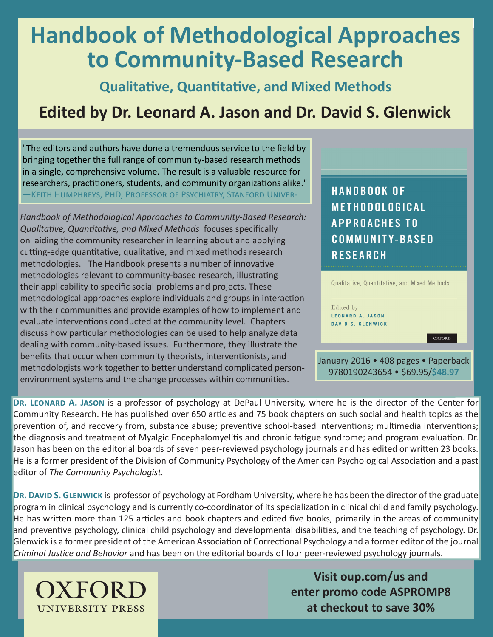# **Handbook of Methodological Approaches to Community-Based Research**

**Qualitative, Quantitative, and Mixed Methods**

## **Edited by Dr. Leonard A. Jason and Dr. David S. Glenwick**

"The editors and authors have done a tremendous service to the field by bringing together the full range of community-based research methods in a single, comprehensive volume. The result is a valuable resource for researchers, practitioners, students, and community organizations alike." —Keith Humphreys, PhD, Professor of Psychiatry, Stanford Univer-

*Handbook of Methodological Approaches to Community-Based Research: Qualitative, Quantitative, and Mixed Methods* focuses specifically on aiding the community researcher in learning about and applying cutting-edge quantitative, qualitative, and mixed methods research methodologies. The Handbook presents a number of innovative methodologies relevant to community-based research, illustrating their applicability to specific social problems and projects. These methodological approaches explore individuals and groups in interaction with their communities and provide examples of how to implement and evaluate interventions conducted at the community level. Chapters discuss how particular methodologies can be used to help analyze data dealing with community-based issues. Furthermore, they illustrate the benefits that occur when community theorists, interventionists, and methodologists work together to better understand complicated personenvironment systems and the change processes within communities.

**HANDBOOK OF** METHODOLOGICAL **APPROACHES TO COMMUNITY-BASED RESEARCH** 

| Edited by |                          |               |  |
|-----------|--------------------------|---------------|--|
|           | <b>LEONARD A. JASON</b>  |               |  |
|           | <b>DAVID S. GLENWICK</b> |               |  |
|           |                          | <b>OXFORD</b> |  |
|           |                          |               |  |

**DR. LEONARD A. JASON** is a professor of psychology at DePaul University, where he is the director of the Center for Community Research. He has published over 650 articles and 75 book chapters on such social and health topics as the prevention of, and recovery from, substance abuse; preventive school-based interventions; multimedia interventions; the diagnosis and treatment of Myalgic Encephalomyelitis and chronic fatigue syndrome; and program evaluation. Dr. Jason has been on the editorial boards of seven peer-reviewed psychology journals and has edited or written 23 books. He is a former president of the Division of Community Psychology of the American Psychological Association and a past editor of *The Community Psychologist.*

**DR. DAVID S. GLENWICK** is professor of psychology at Fordham University, where he has been the director of the graduate program in clinical psychology and is currently co-coordinator of its specialization in clinical child and family psychology. He has written more than 125 articles and book chapters and edited five books, primarily in the areas of community and preventive psychology, clinical child psychology and developmental disabilities, and the teaching of psychology. Dr. Glenwick is a former president of the American Association of Correctional Psychology and a former editor of the journal *Criminal Justice and Behavior* and has been on the editorial boards of four peer-reviewed psychology journals.



**Visit oup.com/us and enter promo code ASPROMP8**<br>
UNIVERSITY PRESS<br> **enter promo code ASPROMP8**<br> **at checkout to save 30%**